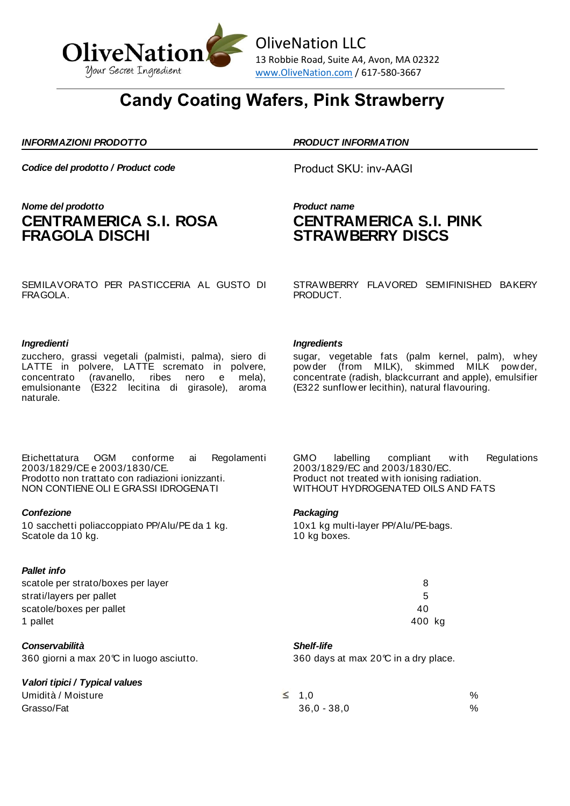

## **Candy Coating Wafers, Pink Strawberry**

### *INFORMAZIONI PRODOTTO PRODUCT INFORMATION*

**Codice del prodotto / Product code** Product SKU: inv-AAGI

## *Nome del prodotto Product name* **CENTRAMERICA S.I. ROSA FRAGOLA DISCHI**

# **CENTRAMERICA S.I. PINK STRAWBERRY DISCS**

SEMILAVORATO PER PASTICCERIA AL GUSTO DI FRAGOLA.

zucchero, grassi vegetali (palmisti, palma), siero di LATTE in polvere, LATTE scremato in polvere,<br>concentrato (ravanello, ribes nero e mela), concentrato (ravanello, ribes nero emulsionante (E322 lecitina di girasole), aroma naturale.

Etichettatura OGM conforme ai Regolamenti 2003/1829/CE e 2003/1830/CE. Prodotto non trattato con radiazioni ionizzanti. NON CONTIENE OLI E GRASSI IDROGENATI

### *Confezione Packaging*

10 sacchetti poliaccoppiato PP/Alu/PE da 1 kg. Scatole da 10 kg.

## *Pallet info*

scatole per strato/boxes per layer strati/layers per pallet scatole/boxes per pallet 1 pallet 400 kg

*Conservabilità Shelf-life*

## *Valori tipici / Typical values*

STRAWBERRY FLAVORED SEMIFINISHED BAKERY PRODUCT.

### *Ingredienti Ingredients*

sugar, vegetable fats (palm kernel, palm), whey powder (from MILK), skimmed MILK powder, concentrate (radish, blackcurrant and apple), emulsifier (E322 sunflower lecithin), natural flavouring.

GMO labelling compliant with Regulations 2003/1829/EC and 2003/1830/EC. Product not treated with ionising radiation. WITHOUT HYDROGENATED OILS AND FATS

10x1 kg multi-layer PP/Alu/PE-bags. 10 kg boxes.

| 8   |   |
|-----|---|
| 5   |   |
| 40  |   |
| 400 | k |

360 giorni a max 20°C in luogo asciutto. 360 days at max 20°C in a dry place.

Umidità / Moisture  $\leq 1,0$  $G$ rasso/Fat  $\%$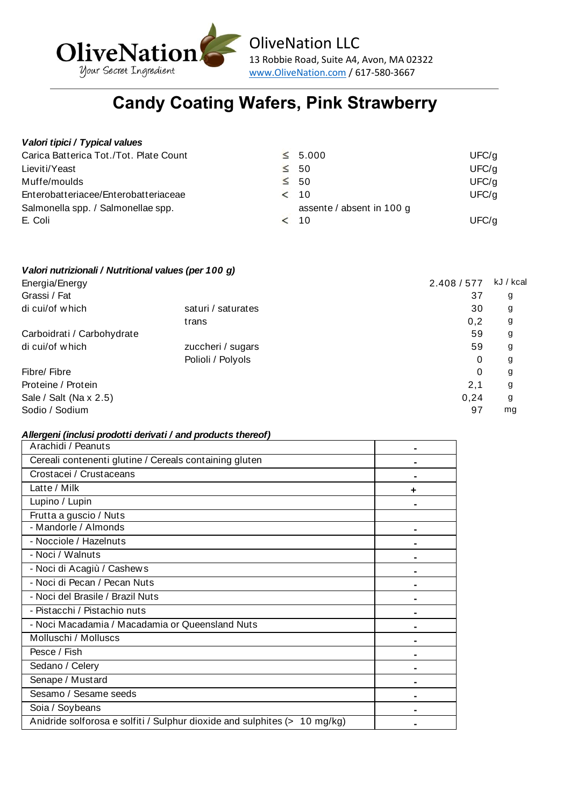

# **Candy Coating Wafers, Pink Strawberry**

## *Valori tipici / Typical values*

| Carica Batterica Tot./Tot. Plate Count | $\leq 5.000$              | UFC/q |
|----------------------------------------|---------------------------|-------|
| Lieviti/Yeast                          | $\leq 50$                 | UFC/q |
| Muffe/moulds                           | $\leq 50$                 | UFC/q |
| Enterobatteriacee/Enterobatteriaceae   | < 10                      | UFC/q |
| Salmonella spp. / Salmonellae spp.     | assente / absent in 100 g |       |
| E. Coli                                | < 10                      | UFC/q |

## *Valori nutrizionali / Nutritional values (per 100 g)*

| Energia/Energy             |                    | 2.408 / 577 | kJ / kcal |
|----------------------------|--------------------|-------------|-----------|
| Grassi / Fat               |                    | 37          | g         |
| di cui/of which            | saturi / saturates | 30          | g         |
|                            | trans              | 0,2         | g         |
| Carboidrati / Carbohydrate |                    | 59          | g         |
| di cui/of which            | zuccheri / sugars  | 59          | g         |
|                            | Polioli / Polyols  | 0           | g         |
| Fibre/ Fibre               |                    | 0           | g         |
| Proteine / Protein         |                    | 2,1         | g         |
| Sale / Salt (Na x 2.5)     |                    | 0.24        | g         |
| Sodio / Sodium             |                    | 97          | mg        |

## *Allergeni (inclusi prodotti derivati / and products thereof)*

| Arachidi / Peanuts                                                        |  |
|---------------------------------------------------------------------------|--|
| Cereali contenenti glutine / Cereals containing gluten                    |  |
| Crostacei / Crustaceans                                                   |  |
| Latte / Milk                                                              |  |
| Lupino / Lupin                                                            |  |
| Frutta a guscio / Nuts                                                    |  |
| - Mandorle / Almonds                                                      |  |
| - Nocciole / Hazelnuts                                                    |  |
| - Noci / Walnuts                                                          |  |
| - Noci di Acagiù / Cashews                                                |  |
| - Noci di Pecan / Pecan Nuts                                              |  |
| - Noci del Brasile / Brazil Nuts                                          |  |
| - Pistacchi / Pistachio nuts                                              |  |
| - Noci Macadamia / Macadamia or Queensland Nuts                           |  |
| Molluschi / Molluscs                                                      |  |
| Pesce / Fish                                                              |  |
| Sedano / Celery                                                           |  |
| Senape / Mustard                                                          |  |
| Sesamo / Sesame seeds                                                     |  |
| Soia / Soybeans                                                           |  |
| Anidride solforosa e solfiti / Sulphur dioxide and sulphites (> 10 mg/kg) |  |